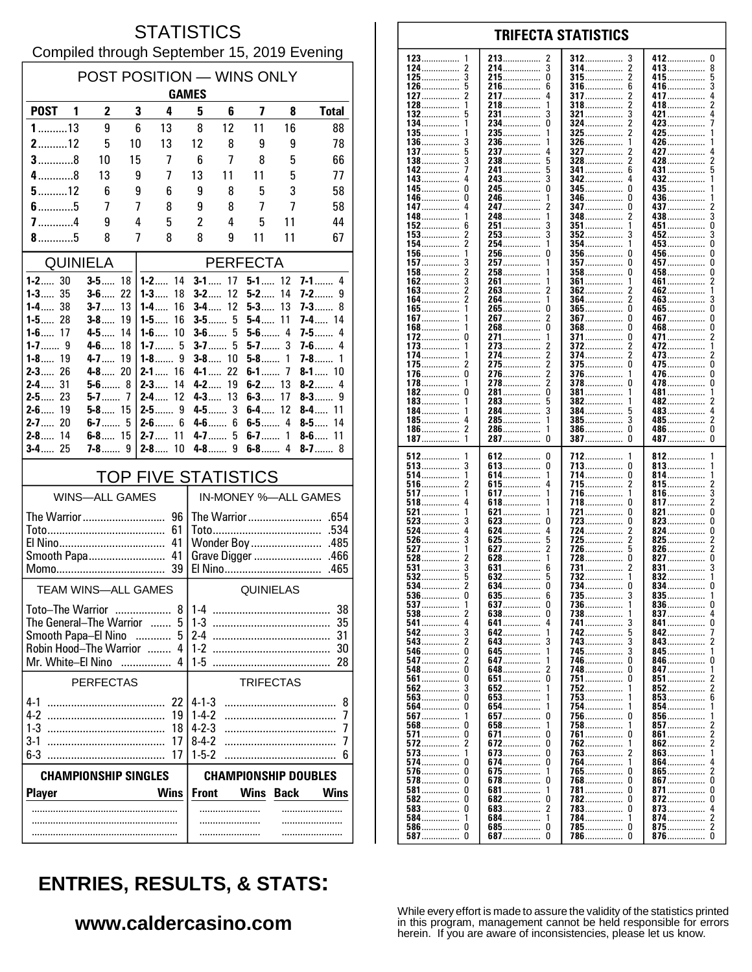### **STATISTICS** Compiled through September 15, 2019 Evening

| POST POSITION - WINS ONLY                                              |                         |          |                             |                                            |         |                  |             |                              |  |  |
|------------------------------------------------------------------------|-------------------------|----------|-----------------------------|--------------------------------------------|---------|------------------|-------------|------------------------------|--|--|
| <b>GAMES</b>                                                           |                         |          |                             |                                            |         |                  |             |                              |  |  |
| <b>POST</b>                                                            | 2<br>1                  | 3        | 4                           | 5                                          | 6       | 7                | 8           | <b>Total</b>                 |  |  |
| $1$ 13                                                                 | 9                       | 6        | 13                          | 8                                          | 12      | 11               | 16          | 88                           |  |  |
| $2$ 12                                                                 | 5                       | 10       | 13                          | 12                                         | 8       | 9                | 9           | 78                           |  |  |
| $3$ 8                                                                  | 10                      | 15       | 7                           | 6                                          | 7       | 8                | 5           | 66                           |  |  |
| $4$ 8<br>$5$ 12                                                        | 13<br>6                 | 9<br>9   | 7<br>6                      | 13<br>9                                    | 11<br>8 | 11<br>5          | 5<br>3      | 77<br>58                     |  |  |
| $6$ 5                                                                  | 7                       | 7        | 8                           | 9                                          | 8       | 7                | 7           | 58                           |  |  |
| $7$ 4                                                                  | 9                       | 4        | 5                           | 2                                          | 4       | 5                | 11          | 44                           |  |  |
| $8$ 5                                                                  | 8                       | 7        | 8                           | 8                                          | 9       | 11               | 11          | 67                           |  |  |
| <b>QUINIELA</b>                                                        |                         |          |                             |                                            |         | <b>PERFECTA</b>  |             |                              |  |  |
| $1 - 2$ 30                                                             | $3 - 5$ 18              |          | $1 - 2$ 14                  | $3 - 1$                                    | 17      | $5 - 1$ 12       |             | $7 - 1$ 4                    |  |  |
| $1 - 3$ 35                                                             | $3 - 6$ 22              |          | $1 - 3$<br>18               | $3-2$                                      | 12      | $5 - 2$          | 14          | 7-2……<br>9                   |  |  |
| $1 - 4$ 38<br>$1 - 5$ 28                                               | $3 - 7$<br>3-8……        | 13<br>19 | 1-4……<br>16<br>16<br>1-5……  | $3-4$<br>$3 - 5$ 5                         | 12      | 5-3<br>5-4……     | 13<br>11    | 7-3…….<br>8<br><b>7-4</b> 14 |  |  |
| $1 - 6$ 17                                                             | 4.5                     | 14       | $1-6$<br>10                 | $3-6$                                      | 5       | $5-6$ 4          |             | $7-5$<br>4                   |  |  |
|                                                                        | $4 - 6$                 | 18       | $1 - 7$ 5                   | $3-7$                                      | 5       | $5-7$            | 3           | $7-6$<br>4                   |  |  |
| $1 - 8$<br>19<br>$2 - 3$ 26                                            | 4-7<br>$4 - 8$ 20       | 19       | 1-8……<br>9<br>$2 - 1$<br>16 | $3 - 8$ 10<br>4-1  . 22                    |         | 5-8<br>$6-1$ 7   | 1           | 7-8……<br>1<br>$8 - 1$ 10     |  |  |
| 31<br>$2-4$                                                            | $5 - 6$ 8               |          | $2-3$<br>14                 | $4-2$                                      | 19      | $6-2$            | 13          | $8-2$<br>4                   |  |  |
| $2 - 5$ 23                                                             | $5-7$                   | 7        | $2 - 4$<br>12               | $4 - 3$                                    | 13      | $6 - 3$          | 17          | $8-3$<br>9                   |  |  |
| $2 - 6$ 19<br>$2 - 7$ 20                                               | $5 - 8$ 15<br>$6 - 7$ 5 |          | $2 - 6$ 6                   | $4 - 5$ 3<br>$4-6$                         | 6       | 6-4<br>$6 - 5$ 4 | 12          | 8-4<br>11<br>14<br>8-5……     |  |  |
| $2 - 8$ 14                                                             | $6 - 8$ 15              |          | $2 - 7$ 11                  | $4 - 7$                                    | 5       | $6-7$            | 1           | $8-6$<br>11                  |  |  |
| $3 - 4$ 25                                                             | $7 - 8$ 9               |          | 10<br>$2 - 8$               |                                            |         | $6-8$            | 4           | $8 - 7$ 8                    |  |  |
|                                                                        |                         |          | <b>TOP FIVE STATISTICS</b>  |                                            |         |                  |             |                              |  |  |
|                                                                        | <b>WINS-ALL GAMES</b>   |          |                             | IN-MONEY %-ALL GAMES                       |         |                  |             |                              |  |  |
|                                                                        |                         |          |                             |                                            |         |                  |             |                              |  |  |
|                                                                        |                         |          | 61                          | .534                                       |         |                  |             |                              |  |  |
| 41<br>Smooth Papa<br>41                                                |                         |          |                             | Wonder Boy<br>.485<br>Grave Digger<br>.466 |         |                  |             |                              |  |  |
| .465<br>39                                                             |                         |          |                             |                                            |         |                  |             |                              |  |  |
| <b>TEAM WINS-ALL GAMES</b>                                             |                         |          |                             | QUINIELAS                                  |         |                  |             |                              |  |  |
| Toto—The Warrior                                                       |                         |          | 8 <sup>1</sup>              | 38<br>$1-4$                                |         |                  |             |                              |  |  |
| The General-The Warrior<br>5<br>$\sim$                                 |                         |          |                             | 35<br>$1-3$                                |         |                  |             |                              |  |  |
| 5<br>Smooth Papa-El Nino<br>Robin Hood-The Warrior<br>4<br>1.1.1.1.1.1 |                         |          |                             | $2-4$<br>31<br>$1 - 2$<br>30               |         |                  |             |                              |  |  |
| Mr. White-El Nino                                                      |                         |          | Δ                           | $1-5$                                      |         |                  |             | 28                           |  |  |
| <b>PERFECTAS</b><br><b>TRIFECTAS</b>                                   |                         |          |                             |                                            |         |                  |             |                              |  |  |
| $4 - 1$                                                                |                         |          | 22                          | $4 - 1 - 3$                                |         |                  |             | 8                            |  |  |
| $4-2$                                                                  |                         |          | 19                          | $1 - 4 - 2$                                |         |                  |             | 7                            |  |  |
| $1-3$                                                                  |                         |          | 18                          | $4 - 2 - 3$                                |         |                  |             | 7                            |  |  |
| $3-1$<br>$6-3$                                                         |                         |          | 17<br>17                    | $8 - 4 - 2$<br>$1 - 5 - 2$                 |         |                  |             | 7<br>6                       |  |  |
| <b>CHAMPIONSHIP DOUBLES</b><br><b>CHAMPIONSHIP SINGLES</b>             |                         |          |                             |                                            |         |                  |             |                              |  |  |
| <b>Player</b>                                                          |                         |          | <b>Wins</b>                 | <b>Front</b>                               |         | <b>Wins</b>      | <b>Back</b> | Wins                         |  |  |
|                                                                        |                         |          |                             |                                            |         |                  |             |                              |  |  |
|                                                                        |                         |          |                             |                                            |         |                  |             |                              |  |  |
|                                                                        |                         |          |                             |                                            |         |                  |             |                              |  |  |

#### 123 213 412  $\mathbf{0}$ 2 312 3 124  $\overline{\mathbf{c}}$ 214................  $\overline{3}$ 314  $\overline{2}$ 413 8 . . . . . . . . . . . . . . . . . . . . . . . . . . . . . . . 3 215................  $\pmb{0}$  $\overline{\mathbf{c}}$ 5 125 315 415................ . . . . . . . . . . . . . . . . . . . . . . . . . . . . . 126 5 216 6 316 6 416 3 .............. . . . . . . . . . . . . . . . . . . . . . . . . . . . . . . . 127  $\overline{2}$ 217  $\overline{4}$ 317  $\overline{\phantom{a}}$ 417 4 . . . . . . . . . . . . . . . . . . . . . . . . . . . . . . . . . . . . . . . 128 218  $\mathbf{1}$ 318  $\overline{\phantom{a}}$ 418  $\mathfrak{p}$ 1  $\bar{3}$ 132 231................ 321.................  $421$ 3 134  $\pmb{0}$  $\overline{2}$  $234$ ................ 324. 423.... 135 235. 325 425 . . . . . . . . . . . . . . . 236 326 426........ 136 3 . . . . . . . . . . . . . . . . . . . . . . . . . . . . . . . . . . . . . . . . . . . . . . 137 237 327 427 Б 4 2 . . . . . . . . . . . . . . 138 3 238 5 328 2 428 . . . . . . . . . . . . 142 241................ 5  $341$ 6 431  $143.$  $\overline{3}$ 342  $432...$ Ō  $\mathbf{0}$ 245. 345  $\mathbf{0}$ 435 145 346 0 146 246 436 . . . . . . . . . . . . . . . . . . . . . . . . . . . . . . . . . . . . . . . . . . . 147  $\overline{a}$ 247 347  $\Omega$ 437 . . . . . . . . . . . . . . . . . . . . . . . . . . . . . . . . . . . . . . . . . . 148 248 348 438 3 2 . . . . . . . . . . . . . . .............. . . . . . . . . 152 251 3 351 451 0 6 . . . . . . . . . . . . . . . . . . . . . . . . . . 153  $\overline{\phantom{a}}$ 253 3 352 3 452 3  $\frac{1}{2}$ ň 154 254  $453...$ 1 354 1 156.  $\mathbf 0$  $\mathbf 0$ 256 356  $\Omega$  $456...$ ŏ 157. 257. 357  $457...$ . . . . . . . . . . . . . . . . . . . . . . . . . . . . . 458................  $\pmb{0}$ 158  $\overline{2}$ 258 358  $\Omega$ . . . . . . . . . . . . . . . . .............. . . . . . . . . . . . . . . . 162 3 261 361 461  $\overline{\phantom{a}}$ . . . . . . . . . . . . . . ............... 163  $\frac{2}{2}$ 263 2 362 462  $\overline{1}$ . . . . . . . . . . . . . . . . . . . . . . . . . . 264................ 164 364 2 1 463. 3 265............... 165................  $\dot{0}$ ō  $465$ ñ  $\overline{2}$  $\mathbf{0}$  $\mathbf 0$ 267. 367  $467...$ 167. . . . . . . . . . . . . . . . . . . . . . . . . .  $\overline{0}$ Ō Ō 168 268 368 468 . . . . . . . . . . . . . . . . . . . . . . . . . . . . . . . . . . . . . . . . . . . . 172  $\mathbf 0$ 271. 371................ 0 471......  $\boldsymbol{2}$ 1 . . . . . . . . . . . . . . . 372 273 173 472 . . . . . . . . . . . . . . . .............. . . . . . . . . . . . . . . . . . . . . . . . . . . . . . . 174 274  $\boldsymbol{2}$ 374 2 473  $\frac{2}{0}$ . . . . . . . . . . . . . . . . . . . . . . . . . . . . . . . . . . . . . . . . . . . . 175 2 275  $\overline{2}$ 375 <sup>0</sup> 475. . . . . . . . . . . . . . . . . . . . . . . . . . . . . .  $\mathbf{0}$  $\Omega$  $\overline{\phantom{a}}$ 376 176 276. 1 476.  $\overline{2}$ ŏ 278................  $\Omega$ 478  $178...$  $378$ 182.  $\Omega$ 281.................  $\pmb{0}$ 381 481 . . . . . . . . . . . . . . . . . . . . . . . . . . . . . . 183. 283 5 382 482 . . . . . . . . . . . . . . . . . . . . . . . . . . . . . . . . . . . . . . . . . . . . . . . . . . . . . . . . . . . . 184 284  $\overline{3}$ 384 483 4 . . . . . . . . . . . . . . . ............... . . . . . . . . . . . . . . . . 185 285 1 385 3 485  $\mathcal{P}$ 4 . . . . . . . . . . . . . . . . . . . . . . . . . . . . . . . . . . . . . . . . . . . . . . . . . . . . . . . . . . . 186  $\overline{z}$ 286. 386  $\Omega$ 486................  $\Omega$ . . . . . . . . . . . . . . . . . . . . . . . . . . . . . . . . . . . . . . . . . . . . .  $\dot{0}$  $\tilde{0}$  $\Omega$ 187  $\overline{1}$ 287 — 287 387 387 512 612  $\pmb{0}$ 712 812 . . . . . . . . . . . . . 513 3  $\pmb{0}$ 713 813 . . . . . . . . . . . . . . . . . . . . . . . . . . . . . . . . ............... 514  $\mathbf{1}$ 614 1 714 0 814 . . . . . . . . . . . . . . . . . . . . . . . . . . . . . . . . . . . . . . . . . . . . . . . . . . . . . . . . . . . . . 516  $\overline{2}$ 615 4 715  $\overline{2}$ 815  $\frac{2}{3}$ . . . . . . . . . . . . . . . . . . . . . . . . . . . . . . . . . . . . . . 517 1 617...  $\mathbf{1}$ 716. 1 816. 518.  $618$ ................ 718.  $\Omega$  $817...$ . . . . . . . . . . . . . . . . . . . . . . . . . . . . . . . 521 ō 721 0 821 621 . . . . . . . . . . . . . . . . . . . . .  $823$ 523 3 623  $\mathbf{0}$ 723  $\theta$  $\pmb{0}$ . . . . . . . . . . . . . . . .............. . . . . . . . . . . . . . . . . . . . . . . . . . . . . . . . 524 4 624  $\overline{4}$ 724 2 824 0 . . . . . . . . . . . . . . . . . . . . . . . . . . . . . . . . . . . . . . . . . . . .  $725.726$ 526 3 625 5 2 825  $\frac{2}{2}$ . . . . . . . . . . . . . . . 627  $\overline{\phantom{a}}$ 5 527  $\mathbf{1}$ 826 528  $\dot{2}$  $628$ .................  $728$ ................. Ō ō  $827$ 531  $\overline{\mathbf{3}}$ 631 731 831 6 . . . . . . . . . . . . . . . . . . . . . . . . . . . . . . 532 5  $632$ ................ 5  $832$ ...... . . . . . . . . . . . . . . . 534 634................  $\mathbf 0$ 734 834...... . . . . . . . . . . . . . . . 635 735 536 0  $\begin{matrix} 6 \\ 0 \end{matrix}$ 3 835  $\frac{1}{0}$ . . . . . . . . . . . . . . . . . . . . . . . . . . . . . . . . . . . . . . . . . . . . . . . . . . . . . . . . . . . . 537  $\mathbf{1}$ 637 736  $\mathbf{1}$ 836 738 837 538 2 638  $\Omega$ 4 . . . . . . . . . . . . . . . . . . . . . . 641...............  $\mathbf{0}$ 541 4 4 741 3  $841...$ 642............... 742................ 542 3 5 842 1 . . . . . . . . . . . . . . 543  $\overline{\mathbf{c}}$ 3 743 3 643.  $843...$ . . . . . . . . . . . . . . . . . . . . . . . . 546  $\mathbf 0$ 645. 745. 3 845 . . . . . . . . . . . . . . . . . . . . . . . . . . . . . . . . . . . . . . . . . . . . . . 547  $\overline{\phantom{a}}$ 647 746  $\Omega$ 846  $\mathbf{0}$ . . . . . . . . . . . . . . . . . . . . . . . . . . . . . . . . . . . . . . . . . . . . . 548  $\Omega$ 648 2 748  $\Omega$ 847 . . . . . . . . . . . . . . . . . . . . . . . . . . . . . . . . . . . . . . . . . . 561  $\Omega$ 651  $\Omega$ 751  $\Omega$ 851  $\overline{2}$ 852 562  $\mathbf{3}$ 652 752 1  $563.$ Ō 653................. 753  $853$ . . . . . . . . . . . . . . . 564 Ō 654 754 854 . . . . . . . . . . . . . . . . . . . . . . . . . . . . 856................ 567 657  $\overline{0}$ 756 n . . . . . . . . . . . . . . . . . . . . . . . . . . . . . . . . . . . . . . . . . . . . . . 568  $\Omega$ 658 1 758  $\mathbf{1}$ 857 . . . . . . . . . . . . . . . . . . . . . . . . . . . 571 0 671  $\mathbf 0$ 761 <sup>0</sup> 861  $\overline{2}$ . . . . . . . . . . . . . . . . . . . . . . . . . . . . . . 572 2 672 0 762 862  $\overline{2}$ ............ . . . . . . . . . . . . 573  $\mathbf{1}$ 673  $\Omega$ 763 863 574 0 674................  $\mathbf 0$ 764  $864...$ 1 576. 675 765  $\Omega$  $865$ ......  $\sqrt{2}$ . . . . . . . . . . . . . . -1 578  $\Omega$ 678  $\mathbf 0$ 768  $\theta$ 867  $\mathbf 0$ . . . . . . . . . . . . . . . . . . . . . . . . . . . . . .  $581$ ................  $\pmb{0}$ 681 781  $\Omega$ 871  $\pmb{0}$ . . . . . . . . . . . . . . . . . . . . . . . . . . . . . . . . . . . . . . . . . . . . . . . 582  $\Omega$ 682  $\Omega$ 782  $\Omega$ 872  $\Omega$ . . . . . . . . . . . . . . . . . . . . . . . . . . . . . . . . . . . . . . . . . . . 583  $\Omega$ 683  $\overline{\phantom{a}}$ 783  $\Omega$ 873  $\frac{4}{2}$ . . . . . . . . . . . . . . . . . . . . . . . . . . . . . . . . . . . . . . . . . . . . . . 684...............  $584$ ................ 784 874................  $\mathbf{1}$  $\mathbf{1}$ 1 586............... 685...............  $\overline{2}$  $\mathbf 0$ 0  $785$ ................  $\Omega$ 875................

**TRIFECTA STATISTICS** 

# **ENTRIES, RESULTS, & STATS:**

### www.caldercasino.com

786

 $\Omega$ 

 $\Omega$ 

587

 $\pmb{0}$ 

687.

 $\overline{0}$ 

876................